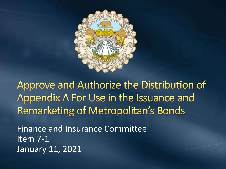

Approve and Authorize the Distribution of Appendix A For Use in the Issuance and **Remarketing of Metropolitan's Bonds** 

Finance and Insurance Committee Item 7-1 January 11, 2021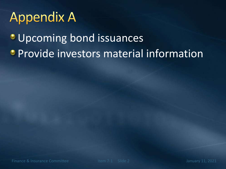## **Appendix A**

**Upcoming bond issuances • Provide investors material information**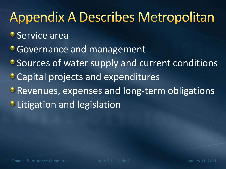## **Appendix A Describes Metropolitan**

- **Service area**
- **Governance and management**
- **Sources of water supply and current conditions**
- **Capital projects and expenditures**
- **Revenues, expenses and long-term obligations**
- **C** Litigation and legislation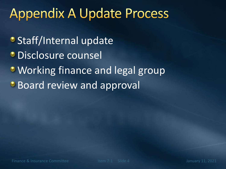#### **Appendix A Update Process**

- **Staff/Internal update**
- **Disclosure counsel**
- Working finance and legal group
- **Board review and approval**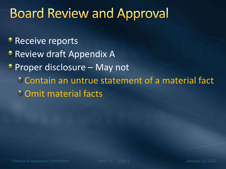### **Board Review and Approval**

- **Receive reports**
- **Review draft Appendix A**
- Proper disclosure May not
	- Contain an untrue statement of a material fact
	- Omit material facts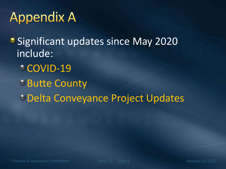## **Appendix A**

• Significant updates since May 2020 include:

- **COVID-19**
- Butte County
- Delta Conveyance Project Updates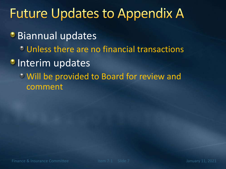#### **Future Updates to Appendix A**

**Biannual updates** 

- **Unless there are no financial transactions**
- **Interim updates** 
	- Will be provided to Board for review and comment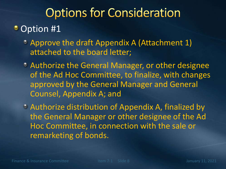### **Options for Consideration**

#### • Option #1

- Approve the draft Appendix A (Attachment 1) attached to the board letter;
- Authorize the General Manager, or other designee of the Ad Hoc Committee, to finalize, with changes approved by the General Manager and General Counsel, Appendix A; and
- Authorize distribution of Appendix A, finalized by the General Manager or other designee of the Ad Hoc Committee, in connection with the sale or remarketing of bonds.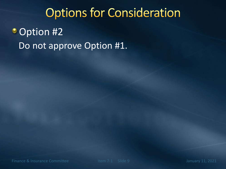## **Options for Consideration Option #2** Do not approve Option #1.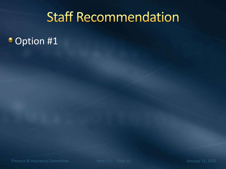#### **Staff Recommendation**

• Option #1